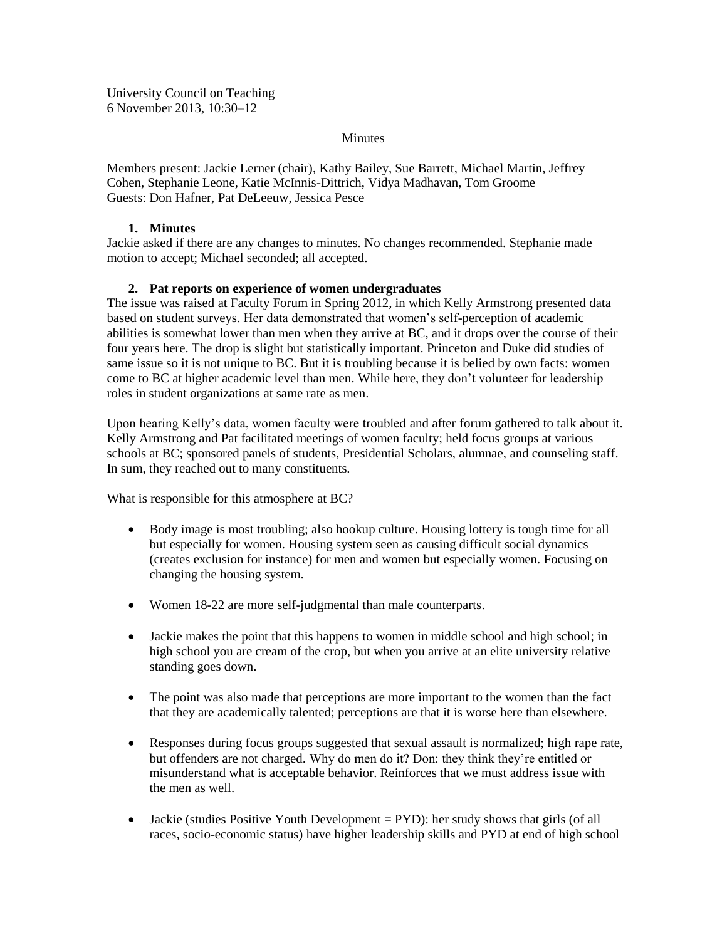University Council on Teaching 6 November 2013, 10:30–12

#### **Minutes**

Members present: Jackie Lerner (chair), Kathy Bailey, Sue Barrett, Michael Martin, Jeffrey Cohen, Stephanie Leone, Katie McInnis-Dittrich, Vidya Madhavan, Tom Groome Guests: Don Hafner, Pat DeLeeuw, Jessica Pesce

## **1. Minutes**

Jackie asked if there are any changes to minutes. No changes recommended. Stephanie made motion to accept; Michael seconded; all accepted.

# **2. Pat reports on experience of women undergraduates**

The issue was raised at Faculty Forum in Spring 2012, in which Kelly Armstrong presented data based on student surveys. Her data demonstrated that women's self-perception of academic abilities is somewhat lower than men when they arrive at BC, and it drops over the course of their four years here. The drop is slight but statistically important. Princeton and Duke did studies of same issue so it is not unique to BC. But it is troubling because it is belied by own facts: women come to BC at higher academic level than men. While here, they don't volunteer for leadership roles in student organizations at same rate as men.

Upon hearing Kelly's data, women faculty were troubled and after forum gathered to talk about it. Kelly Armstrong and Pat facilitated meetings of women faculty; held focus groups at various schools at BC; sponsored panels of students, Presidential Scholars, alumnae, and counseling staff. In sum, they reached out to many constituents.

What is responsible for this atmosphere at BC?

- Body image is most troubling; also hookup culture. Housing lottery is tough time for all but especially for women. Housing system seen as causing difficult social dynamics (creates exclusion for instance) for men and women but especially women. Focusing on changing the housing system.
- Women 18-22 are more self-judgmental than male counterparts.
- Jackie makes the point that this happens to women in middle school and high school; in high school you are cream of the crop, but when you arrive at an elite university relative standing goes down.
- The point was also made that perceptions are more important to the women than the fact that they are academically talented; perceptions are that it is worse here than elsewhere.
- Responses during focus groups suggested that sexual assault is normalized; high rape rate, but offenders are not charged. Why do men do it? Don: they think they're entitled or misunderstand what is acceptable behavior. Reinforces that we must address issue with the men as well.
- Jackie (studies Positive Youth Development  $=$  PYD): her study shows that girls (of all races, socio-economic status) have higher leadership skills and PYD at end of high school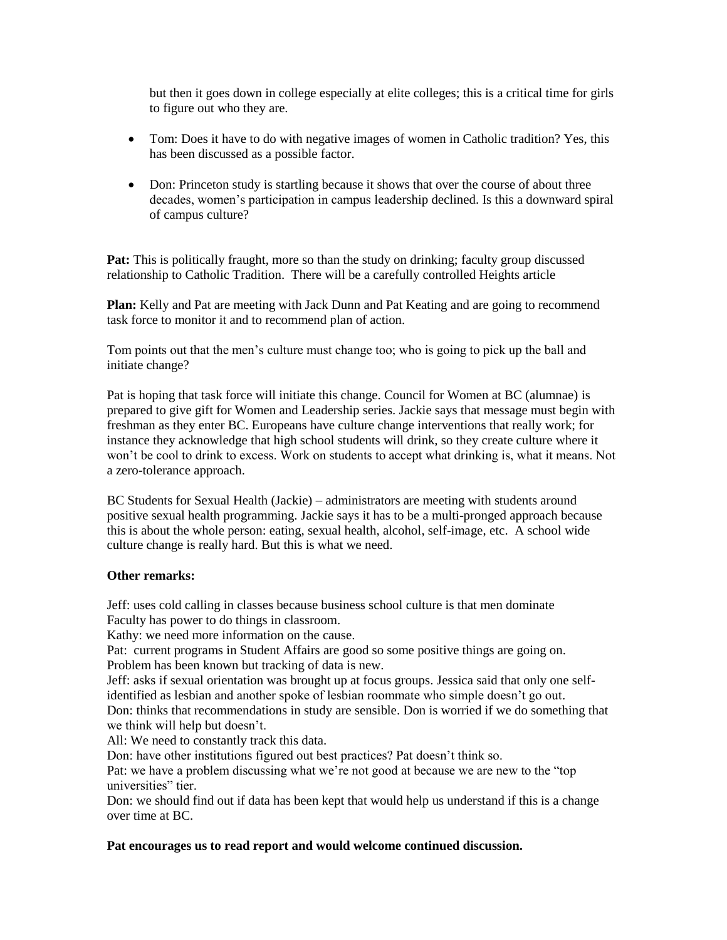but then it goes down in college especially at elite colleges; this is a critical time for girls to figure out who they are.

- Tom: Does it have to do with negative images of women in Catholic tradition? Yes, this has been discussed as a possible factor.
- Don: Princeton study is startling because it shows that over the course of about three decades, women's participation in campus leadership declined. Is this a downward spiral of campus culture?

**Pat:** This is politically fraught, more so than the study on drinking; faculty group discussed relationship to Catholic Tradition. There will be a carefully controlled Heights article

**Plan:** Kelly and Pat are meeting with Jack Dunn and Pat Keating and are going to recommend task force to monitor it and to recommend plan of action.

Tom points out that the men's culture must change too; who is going to pick up the ball and initiate change?

Pat is hoping that task force will initiate this change. Council for Women at BC (alumnae) is prepared to give gift for Women and Leadership series. Jackie says that message must begin with freshman as they enter BC. Europeans have culture change interventions that really work; for instance they acknowledge that high school students will drink, so they create culture where it won't be cool to drink to excess. Work on students to accept what drinking is, what it means. Not a zero-tolerance approach.

BC Students for Sexual Health (Jackie) – administrators are meeting with students around positive sexual health programming. Jackie says it has to be a multi-pronged approach because this is about the whole person: eating, sexual health, alcohol, self-image, etc. A school wide culture change is really hard. But this is what we need.

#### **Other remarks:**

Jeff: uses cold calling in classes because business school culture is that men dominate Faculty has power to do things in classroom.

Kathy: we need more information on the cause.

Pat: current programs in Student Affairs are good so some positive things are going on. Problem has been known but tracking of data is new.

Jeff: asks if sexual orientation was brought up at focus groups. Jessica said that only one selfidentified as lesbian and another spoke of lesbian roommate who simple doesn't go out.

Don: thinks that recommendations in study are sensible. Don is worried if we do something that we think will help but doesn't.

All: We need to constantly track this data.

Don: have other institutions figured out best practices? Pat doesn't think so.

Pat: we have a problem discussing what we're not good at because we are new to the "top universities" tier.

Don: we should find out if data has been kept that would help us understand if this is a change over time at BC.

## **Pat encourages us to read report and would welcome continued discussion.**